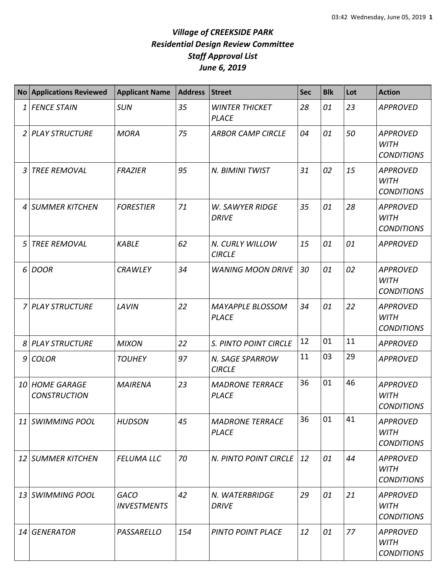|                | <b>No Applications Reviewed</b>           | <b>Applicant Name</b>             | <b>Address</b> | <b>Street</b>                           | <b>Sec</b> | <b>Blk</b> | Lot | <b>Action</b>                                       |
|----------------|-------------------------------------------|-----------------------------------|----------------|-----------------------------------------|------------|------------|-----|-----------------------------------------------------|
| 1              | <b>FENCE STAIN</b>                        | <b>SUN</b>                        | 35             | <b>WINTER THICKET</b><br><b>PLACE</b>   | 28         | 01         | 23  | <b>APPROVED</b>                                     |
| $\overline{2}$ | <b>PLAY STRUCTURE</b>                     | <b>MORA</b>                       | 75             | <b>ARBOR CAMP CIRCLE</b>                | 04         | 01         | 50  | <b>APPROVED</b><br><b>WITH</b><br><b>CONDITIONS</b> |
| 3              | <b>TREE REMOVAL</b>                       | <b>FRAZIER</b>                    | 95             | N. BIMINI TWIST                         | 31         | 02         | 15  | <b>APPROVED</b><br><b>WITH</b><br><b>CONDITIONS</b> |
| 4              | <b>SUMMER KITCHEN</b>                     | <b>FORESTIER</b>                  | 71             | <b>W. SAWYER RIDGE</b><br><b>DRIVE</b>  | 35         | 01         | 28  | <b>APPROVED</b><br><b>WITH</b><br><b>CONDITIONS</b> |
| 5              | <b>TREE REMOVAL</b>                       | <b>KABLE</b>                      | 62             | N. CURLY WILLOW<br><b>CIRCLE</b>        | 15         | 01         | 01  | <b>APPROVED</b>                                     |
| 6              | <b>DOOR</b>                               | <b>CRAWLEY</b>                    | 34             | <b>WANING MOON DRIVE</b>                | 30         | 01         | 02  | <b>APPROVED</b><br><b>WITH</b><br><b>CONDITIONS</b> |
| 7              | <b>PLAY STRUCTURE</b>                     | <b>LAVIN</b>                      | 22             | <b>MAYAPPLE BLOSSOM</b><br><b>PLACE</b> | 34         | 01         | 22  | <b>APPROVED</b><br><b>WITH</b><br><b>CONDITIONS</b> |
| 8              | <b>PLAY STRUCTURE</b>                     | <b>MIXON</b>                      | 22             | S. PINTO POINT CIRCLE                   | 12         | 01         | 11  | <b>APPROVED</b>                                     |
| 9              | <b>COLOR</b>                              | <b>TOUHEY</b>                     | 97             | N. SAGE SPARROW<br><b>CIRCLE</b>        | 11         | 03         | 29  | <b>APPROVED</b>                                     |
| 10             | <b>HOME GARAGE</b><br><b>CONSTRUCTION</b> | <b>MAIRENA</b>                    | 23             | <b>MADRONE TERRACE</b><br><b>PLACE</b>  | 36         | 01         | 46  | <b>APPROVED</b><br><b>WITH</b><br><b>CONDITIONS</b> |
| 11             | <b>SWIMMING POOL</b>                      | <b>HUDSON</b>                     | 45             | <b>MADRONE TERRACE</b><br><b>PLACE</b>  | 36         | 01         | 41  | <b>APPROVED</b><br><b>WITH</b><br><b>CONDITIONS</b> |
| 12             | <b>SUMMER KITCHEN</b>                     | <b>FELUMA LLC</b>                 | 70             | N. PINTO POINT CIRCLE                   | 12         | 01         | 44  | <b>APPROVED</b><br><b>WITH</b><br><b>CONDITIONS</b> |
| 13             | <b>SWIMMING POOL</b>                      | <b>GACO</b><br><b>INVESTMENTS</b> | 42             | N. WATERBRIDGE<br><b>DRIVE</b>          | 29         | 01         | 21  | <b>APPROVED</b><br><b>WITH</b><br><b>CONDITIONS</b> |
| 14             | <b>GENERATOR</b>                          | PASSARELLO                        | 154            | <b>PINTO POINT PLACE</b>                | 12         | 01         | 77  | APPROVED<br><b>WITH</b><br><b>CONDITIONS</b>        |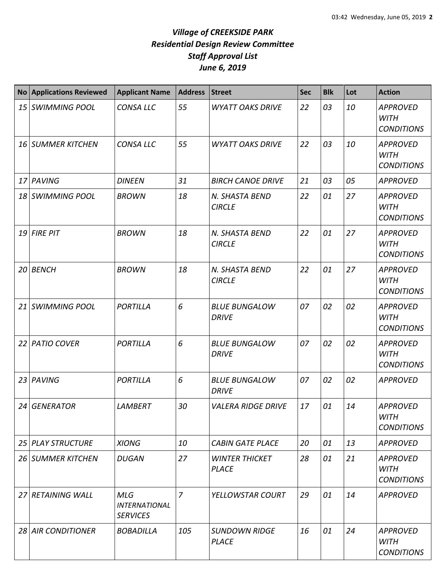|                 | <b>No Applications Reviewed</b> | <b>Applicant Name</b>                                 | <b>Address</b> | <b>Street</b>                         | <b>Sec</b> | <b>Blk</b> | Lot | <b>Action</b>                                       |
|-----------------|---------------------------------|-------------------------------------------------------|----------------|---------------------------------------|------------|------------|-----|-----------------------------------------------------|
| 15              | <b>SWIMMING POOL</b>            | <b>CONSA LLC</b>                                      | 55             | <b>WYATT OAKS DRIVE</b>               | 22         | 03         | 10  | <b>APPROVED</b><br><b>WITH</b><br><b>CONDITIONS</b> |
|                 | 16 SUMMER KITCHEN               | <b>CONSA LLC</b>                                      | 55             | <b>WYATT OAKS DRIVE</b>               | 22         | 03         | 10  | <b>APPROVED</b><br><b>WITH</b><br><b>CONDITIONS</b> |
| 17 <sup>1</sup> | PAVING                          | <b>DINEEN</b>                                         | 31             | <b>BIRCH CANOE DRIVE</b>              | 21         | 03         | 05  | <b>APPROVED</b>                                     |
|                 | 18 SWIMMING POOL                | <b>BROWN</b>                                          | 18             | N. SHASTA BEND<br><b>CIRCLE</b>       | 22         | 01         | 27  | <b>APPROVED</b><br><b>WITH</b><br><b>CONDITIONS</b> |
|                 | 19 FIRE PIT                     | <b>BROWN</b>                                          | 18             | N. SHASTA BEND<br><b>CIRCLE</b>       | 22         | 01         | 27  | <b>APPROVED</b><br><b>WITH</b><br><b>CONDITIONS</b> |
| 20              | <b>BENCH</b>                    | <b>BROWN</b>                                          | 18             | N. SHASTA BEND<br><b>CIRCLE</b>       | 22         | 01         | 27  | <b>APPROVED</b><br><b>WITH</b><br><b>CONDITIONS</b> |
| 21              | <b>SWIMMING POOL</b>            | <b>PORTILLA</b>                                       | 6              | <b>BLUE BUNGALOW</b><br><b>DRIVE</b>  | 07         | 02         | 02  | <b>APPROVED</b><br><b>WITH</b><br><b>CONDITIONS</b> |
| 22              | <b>PATIO COVER</b>              | <b>PORTILLA</b>                                       | 6              | <b>BLUE BUNGALOW</b><br><b>DRIVE</b>  | 07         | 02         | 02  | <b>APPROVED</b><br><b>WITH</b><br><b>CONDITIONS</b> |
|                 | 23 PAVING                       | <b>PORTILLA</b>                                       | 6              | <b>BLUE BUNGALOW</b><br><b>DRIVE</b>  | 07         | 02         | 02  | <b>APPROVED</b>                                     |
| 24              | <b>GENERATOR</b>                | <b>LAMBERT</b>                                        | 30             | <b>VALERA RIDGE DRIVE</b>             | 17         | 01         | 14  | <b>APPROVED</b><br><b>WITH</b><br><b>CONDITIONS</b> |
| 25 I            | <b>PLAY STRUCTURE</b>           | <b>XIONG</b>                                          | 10             | <b>CABIN GATE PLACE</b>               | 20         | 01         | 13  | <b>APPROVED</b>                                     |
|                 | <b>26 SUMMER KITCHEN</b>        | <b>DUGAN</b>                                          | 27             | <b>WINTER THICKET</b><br><b>PLACE</b> | 28         | 01         | 21  | APPROVED<br><b>WITH</b><br><b>CONDITIONS</b>        |
| 27 <sup>1</sup> | <b>RETAINING WALL</b>           | <b>MLG</b><br><b>INTERNATIONAL</b><br><b>SERVICES</b> | $\overline{7}$ | YELLOWSTAR COURT                      | 29         | 01         | 14  | <b>APPROVED</b>                                     |
| 28 I            | <b>AIR CONDITIONER</b>          | <b>BOBADILLA</b>                                      | 105            | <b>SUNDOWN RIDGE</b><br><b>PLACE</b>  | 16         | 01         | 24  | <b>APPROVED</b><br>WITH<br><b>CONDITIONS</b>        |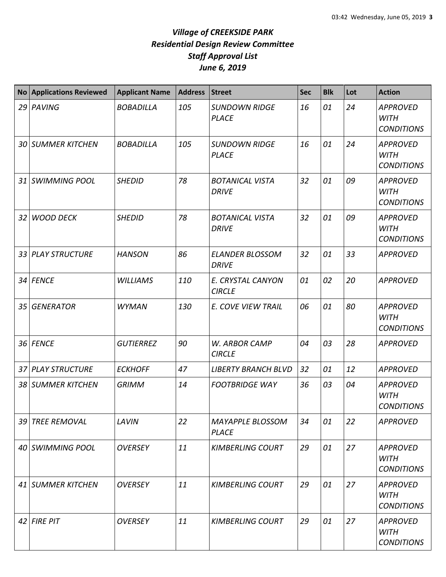|    | No Applications Reviewed | <b>Applicant Name</b> | <b>Address</b> | <b>Street</b>                           | <b>Sec</b> | <b>Blk</b> | Lot | <b>Action</b>                                       |
|----|--------------------------|-----------------------|----------------|-----------------------------------------|------------|------------|-----|-----------------------------------------------------|
|    | 29 PAVING                | <b>BOBADILLA</b>      | 105            | <b>SUNDOWN RIDGE</b><br><b>PLACE</b>    | 16         | 01         | 24  | <b>APPROVED</b><br><b>WITH</b><br><b>CONDITIONS</b> |
|    | <b>30 SUMMER KITCHEN</b> | <b>BOBADILLA</b>      | 105            | <b>SUNDOWN RIDGE</b><br><b>PLACE</b>    | 16         | 01         | 24  | <b>APPROVED</b><br><b>WITH</b><br><b>CONDITIONS</b> |
|    | 31 SWIMMING POOL         | <b>SHEDID</b>         | 78             | <b>BOTANICAL VISTA</b><br><b>DRIVE</b>  | 32         | 01         | 09  | <b>APPROVED</b><br><b>WITH</b><br><b>CONDITIONS</b> |
| 32 | <b>WOOD DECK</b>         | <b>SHEDID</b>         | 78             | <b>BOTANICAL VISTA</b><br><b>DRIVE</b>  | 32         | 01         | 09  | <b>APPROVED</b><br><b>WITH</b><br><b>CONDITIONS</b> |
| 33 | <b>PLAY STRUCTURE</b>    | <b>HANSON</b>         | 86             | <b>ELANDER BLOSSOM</b><br><b>DRIVE</b>  | 32         | 01         | 33  | <b>APPROVED</b>                                     |
| 34 | <b>FENCE</b>             | <b>WILLIAMS</b>       | 110            | E. CRYSTAL CANYON<br><b>CIRCLE</b>      | 01         | 02         | 20  | <b>APPROVED</b>                                     |
| 35 | <b>GENERATOR</b>         | <b>WYMAN</b>          | 130            | E. COVE VIEW TRAIL                      | 06         | 01         | 80  | <b>APPROVED</b><br><b>WITH</b><br><b>CONDITIONS</b> |
|    | 36 FENCE                 | <b>GUTIERREZ</b>      | 90             | W. ARBOR CAMP<br><b>CIRCLE</b>          | 04         | 03         | 28  | <b>APPROVED</b>                                     |
|    | 37 PLAY STRUCTURE        | <b>ECKHOFF</b>        | 47             | <b>LIBERTY BRANCH BLVD</b>              | 32         | 01         | 12  | <b>APPROVED</b>                                     |
| 38 | <b>SUMMER KITCHEN</b>    | <b>GRIMM</b>          | 14             | <b>FOOTBRIDGE WAY</b>                   | 36         | 03         | 04  | <b>APPROVED</b><br><b>WITH</b><br><b>CONDITIONS</b> |
|    | 39 TREE REMOVAL          | LAVIN                 | 22             | <b>MAYAPPLE BLOSSOM</b><br><b>PLACE</b> | 34         | 01         | 22  | <b>APPROVED</b>                                     |
|    | 40 SWIMMING POOL         | <b>OVERSEY</b>        | 11             | <b>KIMBERLING COURT</b>                 | 29         | 01         | 27  | <b>APPROVED</b><br><b>WITH</b><br><b>CONDITIONS</b> |
|    | 41 SUMMER KITCHEN        | <b>OVERSEY</b>        | 11             | <b>KIMBERLING COURT</b>                 | 29         | 01         | 27  | <b>APPROVED</b><br><b>WITH</b><br><b>CONDITIONS</b> |
|    | $42$ FIRE PIT            | <b>OVERSEY</b>        | 11             | <b>KIMBERLING COURT</b>                 | 29         | 01         | 27  | <b>APPROVED</b><br>WITH<br><b>CONDITIONS</b>        |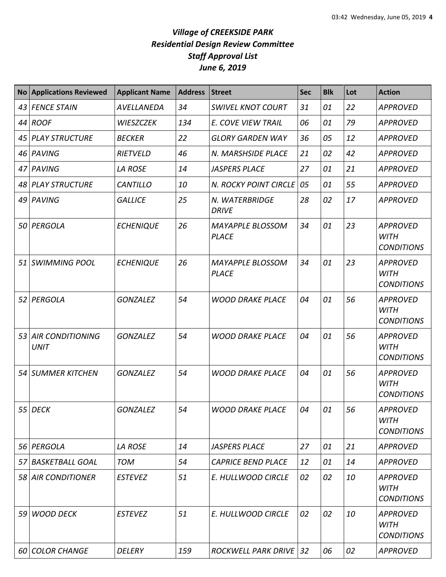| <b>No</b> | <b>Applications Reviewed</b>           | <b>Applicant Name</b> | <b>Address</b> | <b>Street</b>                           | <b>Sec</b> | <b>Blk</b> | Lot | <b>Action</b>                                       |
|-----------|----------------------------------------|-----------------------|----------------|-----------------------------------------|------------|------------|-----|-----------------------------------------------------|
| 43        | <b>FENCE STAIN</b>                     | AVELLANEDA            | 34             | <b>SWIVEL KNOT COURT</b>                | 31         | 01         | 22  | <b>APPROVED</b>                                     |
| 44        | <b>ROOF</b>                            | <b>WIESZCZEK</b>      | 134            | E. COVE VIEW TRAIL                      | 06         | 01         | 79  | <b>APPROVED</b>                                     |
| 45        | <b>PLAY STRUCTURE</b>                  | <b>BECKER</b>         | 22             | <b>GLORY GARDEN WAY</b>                 | 36         | 05         | 12  | <b>APPROVED</b>                                     |
|           | 46 PAVING                              | RIETVELD              | 46             | N. MARSHSIDE PLACE                      | 21         | 02         | 42  | <b>APPROVED</b>                                     |
| 47        | PAVING                                 | <b>LA ROSE</b>        | 14             | <b>JASPERS PLACE</b>                    | 27         | 01         | 21  | <b>APPROVED</b>                                     |
|           | 48 PLAY STRUCTURE                      | <b>CANTILLO</b>       | 10             | N. ROCKY POINT CIRCLE                   | 05         | 01         | 55  | <b>APPROVED</b>                                     |
|           | 49 PAVING                              | <b>GALLICE</b>        | 25             | N. WATERBRIDGE<br><b>DRIVE</b>          | 28         | 02         | 17  | <b>APPROVED</b>                                     |
| 50        | PERGOLA                                | <b>ECHENIQUE</b>      | 26             | <b>MAYAPPLE BLOSSOM</b><br><b>PLACE</b> | 34         | 01         | 23  | <b>APPROVED</b><br><b>WITH</b><br><b>CONDITIONS</b> |
|           | 51 SWIMMING POOL                       | <b>ECHENIQUE</b>      | 26             | <b>MAYAPPLE BLOSSOM</b><br><b>PLACE</b> | 34         | 01         | 23  | <b>APPROVED</b><br><b>WITH</b><br><b>CONDITIONS</b> |
| 52        | PERGOLA                                | <b>GONZALEZ</b>       | 54             | <b>WOOD DRAKE PLACE</b>                 | 04         | 01         | 56  | <b>APPROVED</b><br><b>WITH</b><br><b>CONDITIONS</b> |
| 53        | <b>AIR CONDITIONING</b><br><b>UNIT</b> | <b>GONZALEZ</b>       | 54             | <b>WOOD DRAKE PLACE</b>                 | 04         | 01         | 56  | <b>APPROVED</b><br><b>WITH</b><br><b>CONDITIONS</b> |
| 54        | <b>SUMMER KITCHEN</b>                  | <b>GONZALEZ</b>       | 54             | <b>WOOD DRAKE PLACE</b>                 | 04         | 01         | 56  | <b>APPROVED</b><br><b>WITH</b><br><b>CONDITIONS</b> |
|           | 55 DECK                                | <b>GONZALEZ</b>       | 54             | <b>WOOD DRAKE PLACE</b>                 | 04         | 01         | 56  | <b>APPROVED</b><br><b>WITH</b><br><b>CONDITIONS</b> |
|           | 56 PERGOLA                             | <b>LA ROSE</b>        | 14             | <b>JASPERS PLACE</b>                    | 27         | 01         | 21  | <b>APPROVED</b>                                     |
| 57        | <b>BASKETBALL GOAL</b>                 | <b>TOM</b>            | 54             | <b>CAPRICE BEND PLACE</b>               | 12         | 01         | 14  | <b>APPROVED</b>                                     |
|           | 58 AIR CONDITIONER                     | <b>ESTEVEZ</b>        | 51             | E. HULLWOOD CIRCLE                      | 02         | 02         | 10  | <b>APPROVED</b><br>WITH<br><b>CONDITIONS</b>        |
| 59        | <b>WOOD DECK</b>                       | <b>ESTEVEZ</b>        | 51             | E. HULLWOOD CIRCLE                      | 02         | 02         | 10  | <b>APPROVED</b><br><b>WITH</b><br><b>CONDITIONS</b> |
|           | 60 COLOR CHANGE                        | <b>DELERY</b>         | 159            | <b>ROCKWELL PARK DRIVE 32</b>           |            | 06         | 02  | <b>APPROVED</b>                                     |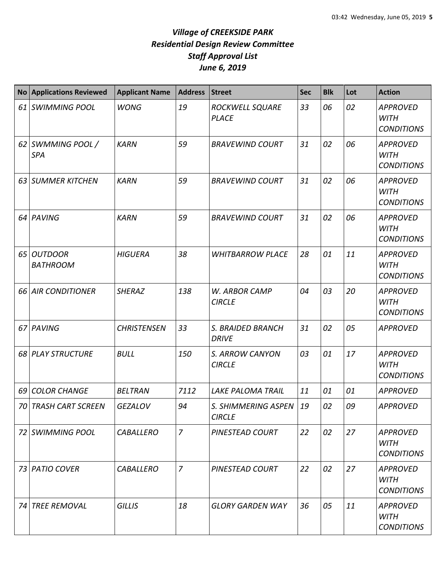|      | No Applications Reviewed          | <b>Applicant Name</b> | <b>Address</b> | <b>Street</b>                        | <b>Sec</b> | <b>Blk</b> | Lot | <b>Action</b>                                       |
|------|-----------------------------------|-----------------------|----------------|--------------------------------------|------------|------------|-----|-----------------------------------------------------|
| 61 I | <b>SWIMMING POOL</b>              | <b>WONG</b>           | 19             | ROCKWELL SQUARE<br><b>PLACE</b>      | 33         | 06         | 02  | <b>APPROVED</b><br><b>WITH</b><br><b>CONDITIONS</b> |
|      | 62 SWMMING POOL /<br><b>SPA</b>   | <b>KARN</b>           | 59             | <b>BRAVEWIND COURT</b>               | 31         | 02         | 06  | <b>APPROVED</b><br><b>WITH</b><br><b>CONDITIONS</b> |
| 63   | <b>SUMMER KITCHEN</b>             | <b>KARN</b>           | 59             | <b>BRAVEWIND COURT</b>               | 31         | 02         | 06  | <b>APPROVED</b><br><b>WITH</b><br><b>CONDITIONS</b> |
| 64   | PAVING                            | <b>KARN</b>           | 59             | <b>BRAVEWIND COURT</b>               | 31         | 02         | 06  | <b>APPROVED</b><br><b>WITH</b><br><b>CONDITIONS</b> |
| 65   | <b>OUTDOOR</b><br><b>BATHROOM</b> | <b>HIGUERA</b>        | 38             | <b>WHITBARROW PLACE</b>              | 28         | 01         | 11  | <b>APPROVED</b><br><b>WITH</b><br><b>CONDITIONS</b> |
| 66 I | <b>AIR CONDITIONER</b>            | <b>SHERAZ</b>         | 138            | W. ARBOR CAMP<br><b>CIRCLE</b>       | 04         | 03         | 20  | <b>APPROVED</b><br><b>WITH</b><br><b>CONDITIONS</b> |
|      | 67 PAVING                         | <b>CHRISTENSEN</b>    | 33             | S. BRAIDED BRANCH<br><b>DRIVE</b>    | 31         | 02         | 05  | <b>APPROVED</b>                                     |
|      | 68 PLAY STRUCTURE                 | <b>BULL</b>           | 150            | S. ARROW CANYON<br><b>CIRCLE</b>     | 03         | 01         | 17  | <b>APPROVED</b><br><b>WITH</b><br><b>CONDITIONS</b> |
| 69   | <b>COLOR CHANGE</b>               | <b>BELTRAN</b>        | 7112           | <b>LAKE PALOMA TRAIL</b>             | 11         | 01         | 01  | <b>APPROVED</b>                                     |
| 70   | <b>TRASH CART SCREEN</b>          | <b>GEZALOV</b>        | 94             | S. SHIMMERING ASPEN<br><b>CIRCLE</b> | 19         | 02         | 09  | <b>APPROVED</b>                                     |
|      | 72 SWIMMING POOL                  | <b>CABALLERO</b>      | $\overline{7}$ | PINESTEAD COURT                      | 22         | 02         | 27  | <b>APPROVED</b><br><b>WITH</b><br><b>CONDITIONS</b> |
|      | 73 PATIO COVER                    | <b>CABALLERO</b>      | $\overline{7}$ | PINESTEAD COURT                      | 22         | 02         | 27  | <b>APPROVED</b><br>WITH<br><b>CONDITIONS</b>        |
| 74   | <b>TREE REMOVAL</b>               | <b>GILLIS</b>         | 18             | <b>GLORY GARDEN WAY</b>              | 36         | 05         | 11  | <b>APPROVED</b><br><b>WITH</b><br><b>CONDITIONS</b> |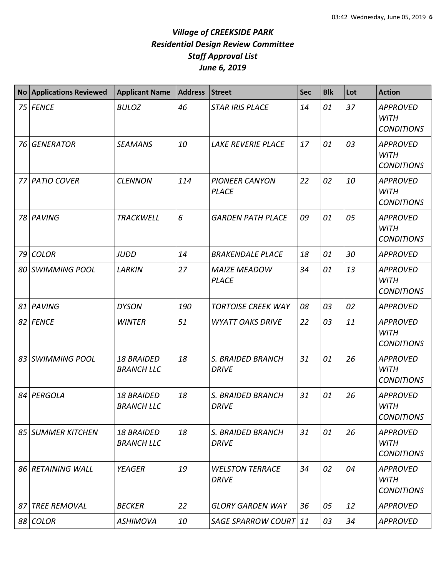|      | <b>No Applications Reviewed</b> | <b>Applicant Name</b>                  | <b>Address</b> | <b>Street</b>                          | <b>Sec</b> | <b>Blk</b> | Lot | <b>Action</b>                                       |
|------|---------------------------------|----------------------------------------|----------------|----------------------------------------|------------|------------|-----|-----------------------------------------------------|
| 75 I | <b>FENCE</b>                    | <b>BULOZ</b>                           | 46             | <b>STAR IRIS PLACE</b>                 | 14         | 01         | 37  | <b>APPROVED</b><br><b>WITH</b><br><b>CONDITIONS</b> |
| 76   | <b>GENERATOR</b>                | <b>SEAMANS</b>                         | 10             | LAKE REVERIE PLACE                     | 17         | 01         | 03  | <b>APPROVED</b><br><b>WITH</b><br><b>CONDITIONS</b> |
| 77   | <b>PATIO COVER</b>              | <b>CLENNON</b>                         | 114            | <b>PIONEER CANYON</b><br><b>PLACE</b>  | 22         | 02         | 10  | <b>APPROVED</b><br><b>WITH</b><br><b>CONDITIONS</b> |
| 78   | PAVING                          | <b>TRACKWELL</b>                       | 6              | <b>GARDEN PATH PLACE</b>               | 09         | 01         | 05  | <b>APPROVED</b><br><b>WITH</b><br><b>CONDITIONS</b> |
| 79   | <b>COLOR</b>                    | <b>JUDD</b>                            | 14             | <b>BRAKENDALE PLACE</b>                | 18         | 01         | 30  | <b>APPROVED</b>                                     |
| 80   | <b>SWIMMING POOL</b>            | <b>LARKIN</b>                          | 27             | <b>MAIZE MEADOW</b><br><b>PLACE</b>    | 34         | 01         | 13  | <b>APPROVED</b><br><b>WITH</b><br><b>CONDITIONS</b> |
| 81   | PAVING                          | <b>DYSON</b>                           | 190            | <b>TORTOISE CREEK WAY</b>              | 08         | 03         | 02  | <b>APPROVED</b>                                     |
| 82   | <b>FENCE</b>                    | <b>WINTER</b>                          | 51             | <b>WYATT OAKS DRIVE</b>                | 22         | 03         | 11  | <b>APPROVED</b><br><b>WITH</b><br><b>CONDITIONS</b> |
| 83   | <b>SWIMMING POOL</b>            | <b>18 BRAIDED</b><br><b>BRANCH LLC</b> | 18             | S. BRAIDED BRANCH<br><b>DRIVE</b>      | 31         | 01         | 26  | <b>APPROVED</b><br><b>WITH</b><br><b>CONDITIONS</b> |
| 84   | PERGOLA                         | <b>18 BRAIDED</b><br><b>BRANCH LLC</b> | 18             | S. BRAIDED BRANCH<br><b>DRIVE</b>      | 31         | 01         | 26  | <b>APPROVED</b><br><b>WITH</b><br><b>CONDITIONS</b> |
|      | 85 SUMMER KITCHEN               | <b>18 BRAIDED</b><br><b>BRANCH LLC</b> | 18             | S. BRAIDED BRANCH<br><b>DRIVE</b>      | 31         | 01         | 26  | <b>APPROVED</b><br><b>WITH</b><br><b>CONDITIONS</b> |
| 86 I | <b>RETAINING WALL</b>           | <b>YEAGER</b>                          | 19             | <b>WELSTON TERRACE</b><br><b>DRIVE</b> | 34         | 02         | 04  | <b>APPROVED</b><br><b>WITH</b><br><b>CONDITIONS</b> |
| 87   | <b>TREE REMOVAL</b>             | <b>BECKER</b>                          | 22             | <b>GLORY GARDEN WAY</b>                | 36         | 05         | 12  | <b>APPROVED</b>                                     |
|      | 88 COLOR                        | <b>ASHIMOVA</b>                        | 10             | <b>SAGE SPARROW COURT</b>              | $\vert$ 11 | 03         | 34  | <b>APPROVED</b>                                     |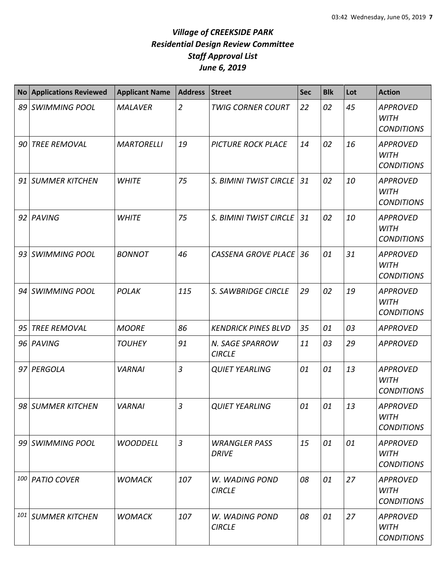| <b>No</b> | <b>Applications Reviewed</b> | <b>Applicant Name</b> | <b>Address</b> | <b>Street</b>                    | <b>Sec</b> | <b>Blk</b> | Lot | <b>Action</b>                                       |
|-----------|------------------------------|-----------------------|----------------|----------------------------------|------------|------------|-----|-----------------------------------------------------|
|           | 89 SWIMMING POOL             | <b>MALAVER</b>        | $\overline{2}$ | <b>TWIG CORNER COURT</b>         | 22         | 02         | 45  | <b>APPROVED</b><br><b>WITH</b><br><b>CONDITIONS</b> |
| 90        | <b>TREE REMOVAL</b>          | <b>MARTORELLI</b>     | 19             | <b>PICTURE ROCK PLACE</b>        | 14         | 02         | 16  | <b>APPROVED</b><br><b>WITH</b><br><b>CONDITIONS</b> |
|           | 91 SUMMER KITCHEN            | <b>WHITE</b>          | 75             | S. BIMINI TWIST CIRCLE           | 31         | 02         | 10  | <b>APPROVED</b><br><b>WITH</b><br><b>CONDITIONS</b> |
|           | 92 PAVING                    | <b>WHITE</b>          | 75             | S. BIMINI TWIST CIRCLE           | 31         | 02         | 10  | <b>APPROVED</b><br><b>WITH</b><br><b>CONDITIONS</b> |
|           | 93 SWIMMING POOL             | <b>BONNOT</b>         | 46             | <b>CASSENA GROVE PLACE</b>       | 36         | 01         | 31  | <b>APPROVED</b><br><b>WITH</b><br><b>CONDITIONS</b> |
|           | 94 SWIMMING POOL             | <b>POLAK</b>          | 115            | S. SAWBRIDGE CIRCLE              | 29         | 02         | 19  | <b>APPROVED</b><br><b>WITH</b><br><b>CONDITIONS</b> |
| 95        | <b>TREE REMOVAL</b>          | <b>MOORE</b>          | 86             | <b>KENDRICK PINES BLVD</b>       | 35         | 01         | 03  | <b>APPROVED</b>                                     |
|           | 96 PAVING                    | <b>TOUHEY</b>         | 91             | N. SAGE SPARROW<br><b>CIRCLE</b> | 11         | 03         | 29  | <b>APPROVED</b>                                     |
|           | 97 PERGOLA                   | <b>VARNAI</b>         | $\overline{3}$ | <b>QUIET YEARLING</b>            | 01         | 01         | 13  | <b>APPROVED</b><br><b>WITH</b><br><b>CONDITIONS</b> |
|           | 98 SUMMER KITCHEN            | <b>VARNAI</b>         | 3              | <b>QUIET YEARLING</b>            | 01         | 01         | 13  | <b>APPROVED</b><br><b>WITH</b><br><b>CONDITIONS</b> |
|           | 99 SWIMMING POOL             | <b>WOODDELL</b>       | $\mathfrak{Z}$ | <b>WRANGLER PASS</b><br>DRIVE    | 15         | 01         | 01  | <b>APPROVED</b><br>WITH<br><b>CONDITIONS</b>        |
|           | 100 PATIO COVER              | <b>WOMACK</b>         | 107            | W. WADING POND<br><b>CIRCLE</b>  | 08         | 01         | 27  | <b>APPROVED</b><br><b>WITH</b><br><b>CONDITIONS</b> |
| 101       | <b>SUMMER KITCHEN</b>        | <b>WOMACK</b>         | 107            | W. WADING POND<br><b>CIRCLE</b>  | 08         | 01         | 27  | <b>APPROVED</b><br>WITH<br><b>CONDITIONS</b>        |